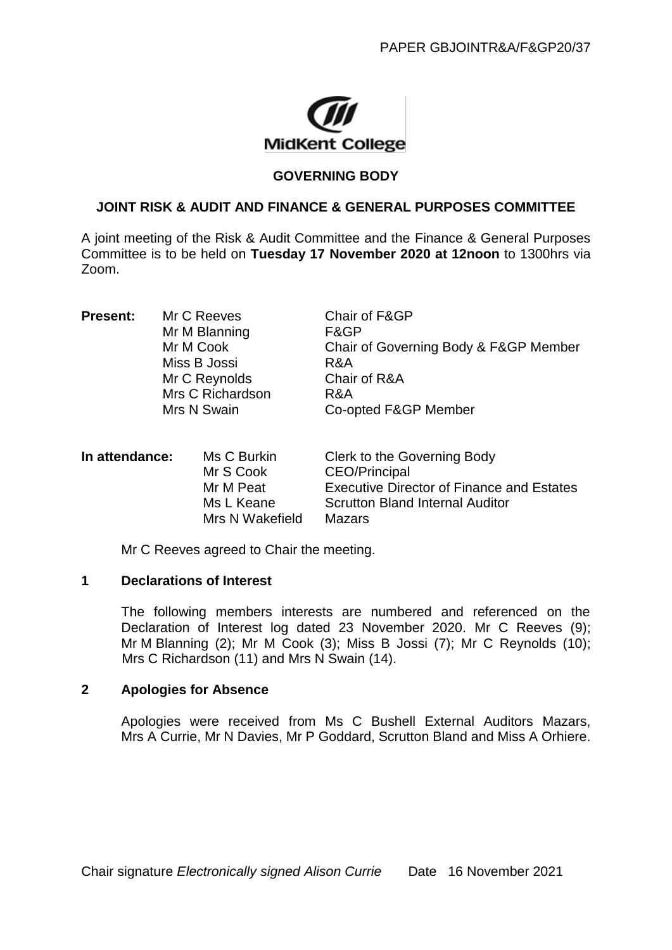

## **GOVERNING BODY**

# **JOINT RISK & AUDIT AND FINANCE & GENERAL PURPOSES COMMITTEE**

A joint meeting of the Risk & Audit Committee and the Finance & General Purposes Committee is to be held on **Tuesday 17 November 2020 at 12noon** to 1300hrs via Zoom.

| <b>Present:</b> | Mr C Reeves      | Chair of F&GP                         |
|-----------------|------------------|---------------------------------------|
|                 | Mr M Blanning    | F&GP                                  |
|                 | Mr M Cook        | Chair of Governing Body & F&GP Member |
|                 | Miss B Jossi     | R&A                                   |
|                 | Mr C Reynolds    | Chair of R&A                          |
|                 | Mrs C Richardson | R&A                                   |
|                 | Mrs N Swain      | Co-opted F&GP Member                  |
|                 |                  |                                       |

**In attendance:** Ms C Burkin Clerk to the Governing Body Mr S Cook CEO/Principal Mr M Peat Executive Director of Finance and Estates Ms L Keane Scrutton Bland Internal Auditor Mrs N Wakefield Mazars

Mr C Reeves agreed to Chair the meeting.

#### **1 Declarations of Interest**

The following members interests are numbered and referenced on the Declaration of Interest log dated 23 November 2020. Mr C Reeves (9); Mr M Blanning (2); Mr M Cook (3); Miss B Jossi (7); Mr C Reynolds (10); Mrs C Richardson (11) and Mrs N Swain (14).

## **2 Apologies for Absence**

Apologies were received from Ms C Bushell External Auditors Mazars, Mrs A Currie, Mr N Davies, Mr P Goddard, Scrutton Bland and Miss A Orhiere.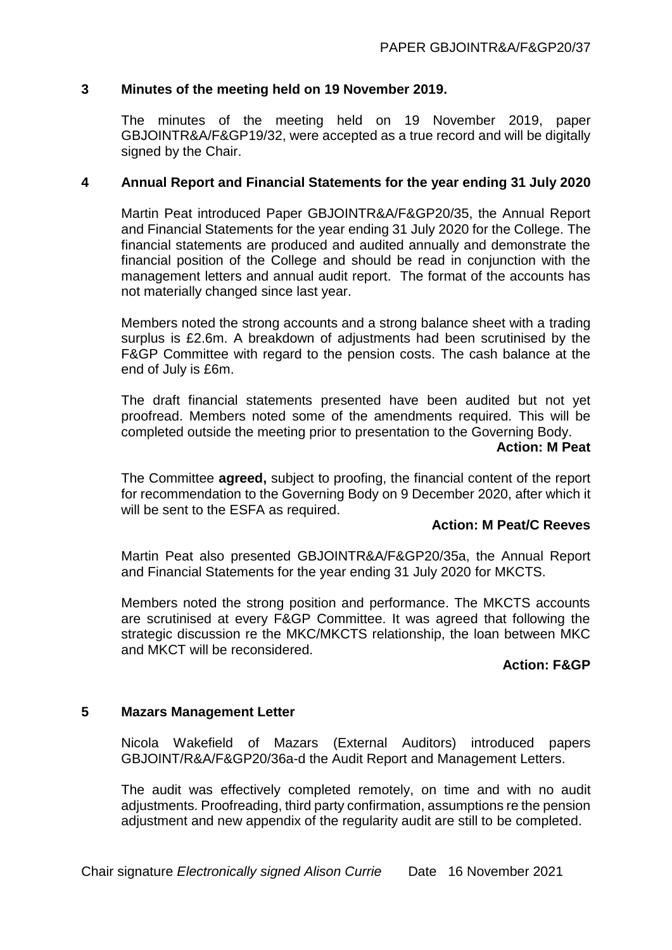# **3 Minutes of the meeting held on 19 November 2019.**

The minutes of the meeting held on 19 November 2019, paper GBJOINTR&A/F&GP19/32, were accepted as a true record and will be digitally signed by the Chair.

# **4 Annual Report and Financial Statements for the year ending 31 July 2020**

Martin Peat introduced Paper GBJOINTR&A/F&GP20/35, the Annual Report and Financial Statements for the year ending 31 July 2020 for the College. The financial statements are produced and audited annually and demonstrate the financial position of the College and should be read in conjunction with the management letters and annual audit report. The format of the accounts has not materially changed since last year.

Members noted the strong accounts and a strong balance sheet with a trading surplus is £2.6m. A breakdown of adjustments had been scrutinised by the F&GP Committee with regard to the pension costs. The cash balance at the end of July is £6m.

The draft financial statements presented have been audited but not yet proofread. Members noted some of the amendments required. This will be completed outside the meeting prior to presentation to the Governing Body.

#### **Action: M Peat**

The Committee **agreed,** subject to proofing, the financial content of the report for recommendation to the Governing Body on 9 December 2020, after which it will be sent to the ESFA as required.

# **Action: M Peat/C Reeves**

Martin Peat also presented GBJOINTR&A/F&GP20/35a, the Annual Report and Financial Statements for the year ending 31 July 2020 for MKCTS.

Members noted the strong position and performance. The MKCTS accounts are scrutinised at every F&GP Committee. It was agreed that following the strategic discussion re the MKC/MKCTS relationship, the loan between MKC and MKCT will be reconsidered.

## **Action: F&GP**

## **5 Mazars Management Letter**

Nicola Wakefield of Mazars (External Auditors) introduced papers GBJOINT/R&A/F&GP20/36a-d the Audit Report and Management Letters.

The audit was effectively completed remotely, on time and with no audit adjustments. Proofreading, third party confirmation, assumptions re the pension adjustment and new appendix of the regularity audit are still to be completed.